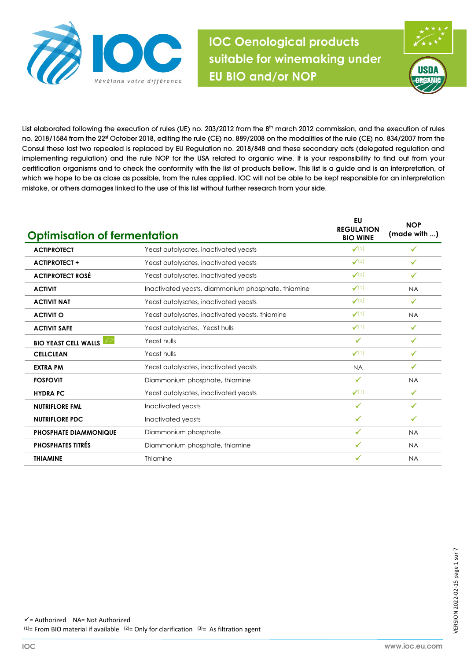

wine making under EU BIO and or NOP **IOC Oenological products suitable for winemaking under EU BIO and/or NOP**



List elaborated following the execution of rules (UE) no. 203/2012 from the 8<sup>th</sup> march 2012 commission, and the execution of rules no. 2018/1584 from the 22<sup>st</sup> October 2018, editing the rule (CE) no. 889/2008 on the modalities of the rule (CE) no. 834/2007 from the Consul these last two repealed is replaced by EU Regulation no. 2018/848 and these secondary acts (delegated regulation and implementing regulation) and the rule NOP for the USA related to organic wine. It is your responsibility to find out from your certification organisms and to check the conformity with the list of products bellow. This list is a guide and is an interpretation, of which we hope to be as close as possible, from the rules applied. IOC will not be able to be kept responsible for an interpretation mistake, or others damages linked to the use of this list without further research from your side.

| <b>Optimisation of fermentation</b> |                                                    | <b>EU</b><br><b>REGULATION</b><br><b>BIO WINE</b> | <b>NOP</b><br>(made with ) |
|-------------------------------------|----------------------------------------------------|---------------------------------------------------|----------------------------|
| <b>ACTIPROTECT</b>                  | Yeast autolysates, inactivated yeasts              | $\checkmark(1)$                                   | √                          |
| <b>ACTIPROTECT +</b>                | Yeast autolysates, inactivated yeasts              | $\checkmark(1)$                                   | ✔                          |
| <b>ACTIPROTECT ROSÉ</b>             | Yeast autolysates, inactivated yeasts              | $\checkmark(1)$                                   | ✓                          |
| <b>ACTIVIT</b>                      | Inactivated yeasts, diammonium phosphate, thiamine | $\checkmark(1)$                                   | <b>NA</b>                  |
| <b>ACTIVIT NAT</b>                  | Yeast autolysates, inactivated yeasts              | $\checkmark(1)$                                   | $\checkmark$               |
| <b>ACTIVIT O</b>                    | Yeast autolysates, inactivated yeasts, thiamine    | $\checkmark(1)$                                   | <b>NA</b>                  |
| <b>ACTIVIT SAFE</b>                 | Yeast autolysates, Yeast hulls                     | $\checkmark(1)$                                   | ✓                          |
| t or<br><b>BIO YEAST CELL WALLS</b> | Yeast hulls                                        | ✓                                                 | √                          |
| <b>CELLCLEAN</b>                    | Yeast hulls                                        | $\checkmark(1)$                                   |                            |
| <b>EXTRA PM</b>                     | Yeast autolysates, inactivated yeasts              | <b>NA</b>                                         | ✓                          |
| <b>FOSFOVIT</b>                     | Diammonium phosphate, thiamine                     | ✔                                                 | <b>NA</b>                  |
| <b>HYDRA PC</b>                     | Yeast autolysates, inactivated yeasts              | $\checkmark(1)$                                   | ✓                          |
| <b>NUTRIFLORE FML</b>               | Inactivated yeasts                                 | $\checkmark$                                      | ✓                          |
| <b>NUTRIFLORE PDC</b>               | Inactivated yeasts                                 | ✓                                                 | ✔                          |
| <b>PHOSPHATE DIAMMONIQUE</b>        | Diammonium phosphate                               | ✓                                                 | <b>NA</b>                  |
| <b>PHOSPHATES TITRÉS</b>            | Diammonium phosphate, thiamine                     | ✔                                                 | <b>NA</b>                  |
| <b>THIAMINE</b>                     | Thiamine                                           |                                                   | <b>NA</b>                  |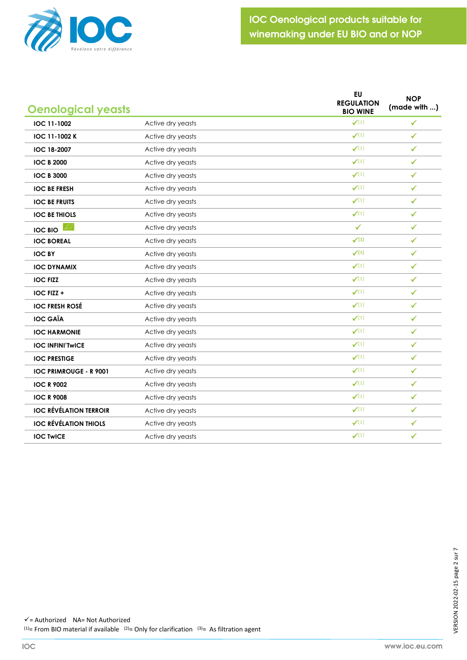

| <b>Oenological yeasts</b>     |                   | <b>EU</b><br><b>REGULATION</b><br><b>BIO WINE</b> | <b>NOP</b><br>(made with ) |
|-------------------------------|-------------------|---------------------------------------------------|----------------------------|
| IOC 11-1002                   | Active dry yeasts | $\checkmark(1)$                                   | $\checkmark$               |
| IOC 11-1002 K                 | Active dry yeasts | $\checkmark(1)$                                   | $\checkmark$               |
| <b>IOC 18-2007</b>            | Active dry yeasts | $\checkmark(1)$                                   | $\checkmark$               |
| <b>IOC B 2000</b>             | Active dry yeasts | $\checkmark(1)$                                   | ✓                          |
| <b>IOC B 3000</b>             | Active dry yeasts | $\checkmark(1)$                                   | $\checkmark$               |
| <b>IOC BE FRESH</b>           | Active dry yeasts | $\checkmark(1)$                                   | ✓                          |
| <b>IOC BE FRUITS</b>          | Active dry yeasts | $\checkmark(1)$                                   | ✓                          |
| <b>IOC BE THIOLS</b>          | Active dry yeasts | $\checkmark(1)$                                   | $\checkmark$               |
| <b>IOC BIO</b>                | Active dry yeasts | $\checkmark$                                      | $\checkmark$               |
| <b>IOC BOREAL</b>             | Active dry yeasts | $\checkmark$ <sup>(1)</sup>                       | $\checkmark$               |
| <b>IOC BY</b>                 | Active dry yeasts | $\checkmark$ <sup>(1)</sup>                       | $\checkmark$               |
| <b>IOC DYNAMIX</b>            | Active dry yeasts | $\checkmark(1)$                                   | $\checkmark$               |
| <b>IOC FIZZ</b>               | Active dry yeasts | $\checkmark(1)$                                   | $\checkmark$               |
| IOC FIZZ +                    | Active dry yeasts | $\checkmark(1)$                                   | $\checkmark$               |
| <b>IOC FRESH ROSÉ</b>         | Active dry yeasts | $\checkmark(1)$                                   | $\checkmark$               |
| <b>IOC GAÏA</b>               | Active dry yeasts | $\checkmark(1)$                                   | $\checkmark$               |
| <b>IOC HARMONIE</b>           | Active dry yeasts | $\checkmark(1)$                                   | ✓                          |
| <b>IOC INFINITWICE</b>        | Active dry yeasts | $\checkmark(1)$                                   | $\checkmark$               |
| <b>IOC PRESTIGE</b>           | Active dry yeasts | $\checkmark(1)$                                   | ✓                          |
| <b>IOC PRIMROUGE - R 9001</b> | Active dry yeasts | $\checkmark(1)$                                   | $\checkmark$               |
| <b>IOC R 9002</b>             | Active dry yeasts | $\checkmark(1)$                                   | ✓                          |
| <b>IOC R 9008</b>             | Active dry yeasts | $\checkmark(1)$                                   | ✓                          |
| <b>IOC RÉVÉLATION TERROIR</b> | Active dry yeasts | $\checkmark(1)$                                   | $\checkmark$               |
| <b>IOC RÉVÉLATION THIOLS</b>  | Active dry yeasts | $\checkmark(1)$                                   | $\checkmark$               |
| <b>IOC TWICE</b>              | Active dry yeasts | $\checkmark(1)$                                   | $\checkmark$               |
|                               |                   |                                                   |                            |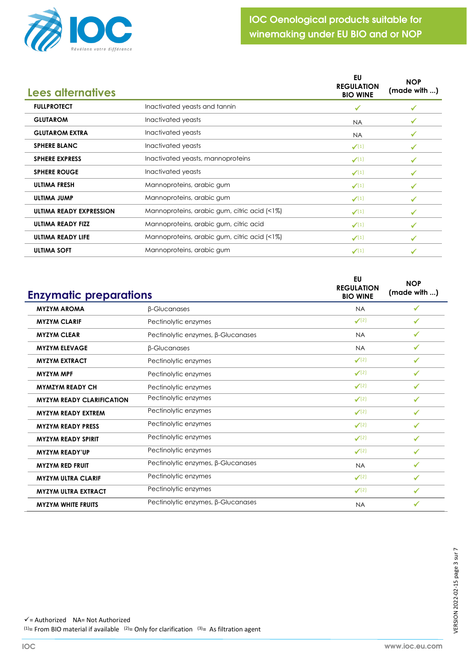

| Lees alternatives              |                                              | EU<br><b>REGULATION</b><br><b>BIO WINE</b> | <b>NOP</b><br>(made with ) |
|--------------------------------|----------------------------------------------|--------------------------------------------|----------------------------|
| <b>FULLPROTECT</b>             | Inactivated yeasts and tannin                | ✔                                          |                            |
| <b>GLUTAROM</b>                | Inactivated yeasts                           | <b>NA</b>                                  |                            |
| <b>GLUTAROM EXTRA</b>          | Inactivated yeasts                           | <b>NA</b>                                  |                            |
| <b>SPHERE BLANC</b>            | Inactivated yeasts                           | $\checkmark(1)$                            | ✔                          |
| <b>SPHERE EXPRESS</b>          | Inactivated yeasts, mannoproteins            | $\checkmark$ <sup>(1)</sup>                |                            |
| <b>SPHERE ROUGE</b>            | Inactivated yeasts                           | $\checkmark(1)$                            |                            |
| <b>ULTIMA FRESH</b>            | Mannoproteins, arabic gum                    | $\checkmark(1)$                            |                            |
| ULTIMA JUMP                    | Mannoproteins, arabic gum                    | $\checkmark$ <sup>(1)</sup>                |                            |
| <b>ULTIMA READY EXPRESSION</b> | Mannoproteins, arabic gum, citric acid (<1%) | $\checkmark(1)$                            |                            |
| <b>ULTIMA READY FIZZ</b>       | Mannoproteins, arabic gum, citric acid       | $\checkmark(1)$                            |                            |
| <b>ULTIMA READY LIFE</b>       | Mannoproteins, arabic gum, citric acid (<1%) | $\checkmark(1)$                            |                            |
| <b>ULTIMA SOFT</b>             | Mannoproteins, arabic gum                    | $\checkmark(1)$                            |                            |

| <b>Enzymatic preparations</b>    |                                    | EU<br><b>REGULATION</b><br><b>BIO WINE</b> | <b>NOP</b><br>(made with ) |
|----------------------------------|------------------------------------|--------------------------------------------|----------------------------|
| <b>MYZYM AROMA</b>               | <b>B-Glucanases</b>                | <b>NA</b>                                  | ✓                          |
| <b>MYZYM CLARIF</b>              | Pectinolytic enzymes               | $\checkmark$ (2)                           | ✔                          |
| <b>MYZYM CLEAR</b>               | Pectinolytic enzymes, B-Glucanases | <b>NA</b>                                  | ✓                          |
| <b>MYZYM ELEVAGE</b>             | <b>B-Glucanases</b>                | <b>NA</b>                                  | ✓                          |
| <b>MYZYM EXTRACT</b>             | Pectinolytic enzymes               | $\checkmark$ (2)                           | ✓                          |
| <b>MYZYM MPF</b>                 | Pectinolytic enzymes               | $\checkmark$ (2)                           | $\checkmark$               |
| <b>MYMZYM READY CH</b>           | Pectinolytic enzymes               | $\checkmark$ (2)                           | ✔                          |
| <b>MYZYM READY CLARIFICATION</b> | Pectinolytic enzymes               | $\checkmark$ (2)                           | ✓                          |
| <b>MYZYM READY EXTREM</b>        | Pectinolytic enzymes               | $\checkmark$ (2)                           | ✔                          |
| <b>MYZYM READY PRESS</b>         | Pectinolytic enzymes               | $\checkmark$ (2)                           | ✔                          |
| <b>MYZYM READY SPIRIT</b>        | Pectinolytic enzymes               | $\checkmark$ (2)                           | ✓                          |
| <b>MYZYM READY'UP</b>            | Pectinolytic enzymes               | $\checkmark$ (2)                           | $\checkmark$               |
| <b>MYZYM RED FRUIT</b>           | Pectinolytic enzymes, β-Glucanases | <b>NA</b>                                  | $\checkmark$               |
| <b>MYZYM ULTRA CLARIF</b>        | Pectinolytic enzymes               | $\checkmark$ (2)                           | ✓                          |
| <b>MYZYM ULTRA EXTRACT</b>       | Pectinolytic enzymes               | $\checkmark$ (2)                           | ✓                          |
| <b>MYZYM WHITE FRUITS</b>        | Pectinolytic enzymes, β-Glucanases | <b>NA</b>                                  |                            |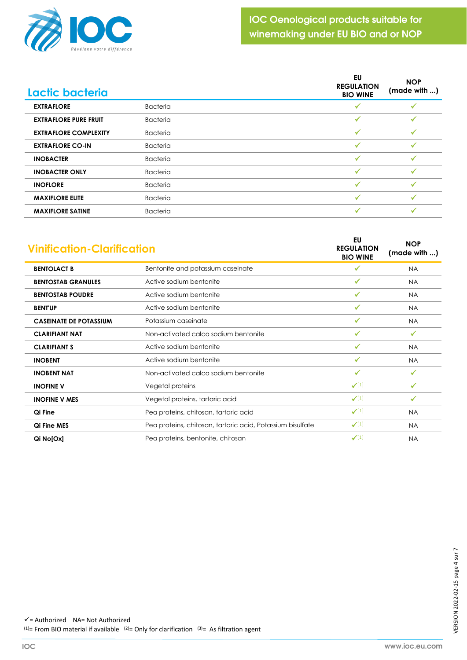

| Lactic bacteria              |                 | EU<br><b>REGULATION</b><br><b>BIO WINE</b> | <b>NOP</b><br>(made with ) |
|------------------------------|-----------------|--------------------------------------------|----------------------------|
| <b>EXTRAFLORE</b>            | <b>Bacteria</b> |                                            |                            |
| <b>EXTRAFLORE PURE FRUIT</b> | <b>Bacteria</b> |                                            |                            |
| <b>EXTRAFLORE COMPLEXITY</b> | <b>Bacteria</b> | ✓                                          |                            |
| <b>EXTRAFLORE CO-IN</b>      | <b>Bacteria</b> |                                            |                            |
| <b>INOBACTER</b>             | <b>Bacteria</b> | ✓                                          |                            |
| <b>INOBACTER ONLY</b>        | <b>Bacteria</b> |                                            |                            |
| <b>INOFLORE</b>              | <b>Bacteria</b> |                                            |                            |
| <b>MAXIFLORE ELITE</b>       | <b>Bacteria</b> | ✓                                          |                            |
| <b>MAXIFLORE SATINE</b>      | <b>Bacteria</b> |                                            |                            |

| <b>Vinification-Clarification</b> |                                                            | <b>EU</b><br><b>REGULATION</b><br><b>BIO WINE</b> | <b>NOP</b><br>(made with ) |
|-----------------------------------|------------------------------------------------------------|---------------------------------------------------|----------------------------|
| <b>BENTOLACT B</b>                | Bentonite and potassium caseinate                          | $\checkmark$                                      | <b>NA</b>                  |
| <b>BENTOSTAB GRANULES</b>         | Active sodium bentonite                                    | ✓                                                 | <b>NA</b>                  |
| <b>BENTOSTAB POUDRE</b>           | Active sodium bentonite                                    | √                                                 | <b>NA</b>                  |
| <b>BENTUP</b>                     | Active sodium bentonite                                    | √                                                 | <b>NA</b>                  |
| <b>CASEINATE DE POTASSIUM</b>     | Potassium caseinate                                        | $\checkmark$                                      | <b>NA</b>                  |
| <b>CLARIFIANT NAT</b>             | Non-activated calco sodium bentonite                       | √                                                 | ✓                          |
| <b>CLARIFIANT S</b>               | Active sodium bentonite                                    | ✔                                                 | <b>NA</b>                  |
| <b>INOBENT</b>                    | Active sodium bentonite                                    | $\checkmark$                                      | <b>NA</b>                  |
| <b>INOBENT NAT</b>                | Non-activated calco sodium bentonite                       | $\checkmark$                                      | $\checkmark$               |
| <b>INOFINE V</b>                  | Vegetal proteins                                           | $\checkmark(1)$                                   | $\checkmark$               |
| <b>INOFINE V MES</b>              | Vegetal proteins, tartaric acid                            | $\checkmark$ <sup>(1)</sup>                       | ✔                          |
| Qi Fine                           | Pea proteins, chitosan, tartaric acid                      | $\checkmark(1)$                                   | <b>NA</b>                  |
| <b>Qi Fine MES</b>                | Pea proteins, chitosan, tartaric acid, Potassium bisulfate | $\checkmark(1)$                                   | <b>NA</b>                  |
| Qi No[Ox]                         | Pea proteins, bentonite, chitosan                          | $\checkmark(1)$                                   | <b>NA</b>                  |
|                                   |                                                            |                                                   |                            |

 $\checkmark$  = Authorized NA= Not Authorized <sup>(1)</sup>= From BIO material if available  $(2)$ = Only for clarification  $(3)$ = As filtration agent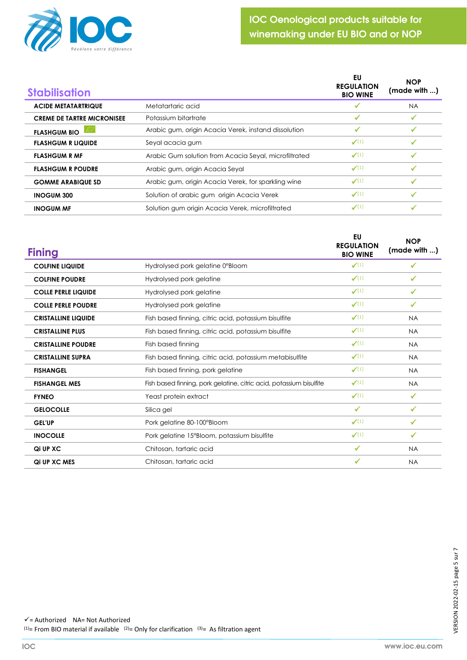

| <b>Stabilisation</b>              |                                                       | EU<br><b>REGULATION</b><br><b>BIO WINE</b> | <b>NOP</b><br>(made with ) |
|-----------------------------------|-------------------------------------------------------|--------------------------------------------|----------------------------|
| <b>ACIDE METATARTRIQUE</b>        | Metatartaric acid                                     |                                            | <b>NA</b>                  |
| <b>CREME DE TARTRE MICRONISEE</b> | Potassium bitartrate                                  |                                            |                            |
| Beach<br><b>FLASHGUM BIO</b>      | Arabic gum, origin Acacia Verek, instand dissolution  | ✔                                          |                            |
| <b>FLASHGUM R LIQUIDE</b>         | Seyal acacia gum                                      | $\checkmark(1)$                            |                            |
| <b>FLASHGUM R MF</b>              | Arabic Gum solution from Acacia Seyal, microfiltrated | $\checkmark(1)$                            |                            |
| <b>FLASHGUM R POUDRE</b>          | Arabic gum, origin Acacia Seyal                       | $\checkmark(1)$                            |                            |
| <b>GOMME ARABIQUE SD</b>          | Arabic gum, origin Acacia Verek, for sparkling wine   | $\checkmark(1)$                            |                            |
| <b>INOGUM 300</b>                 | Solution of arabic gum origin Acacia Verek            | $\checkmark(1)$                            |                            |
| <b>INOGUM MF</b>                  | Solution gum origin Acacia Verek, microfiltrated      | $\checkmark(1)$                            |                            |

| <b>Fining</b>              |                                                                     | EU<br><b>REGULATION</b><br><b>BIO WINE</b> | <b>NOP</b><br>(made with ) |
|----------------------------|---------------------------------------------------------------------|--------------------------------------------|----------------------------|
| <b>COLFINE LIQUIDE</b>     | Hydrolysed pork gelatine 0°Bloom                                    | $\checkmark(1)$                            | ✔                          |
| <b>COLFINE POUDRE</b>      | Hydrolysed pork gelatine                                            | $\checkmark(1)$                            | ✔                          |
| <b>COLLE PERLE LIQUIDE</b> | Hydrolysed pork gelatine                                            | $\checkmark(1)$                            | $\checkmark$               |
| <b>COLLE PERLE POUDRE</b>  | Hydrolysed pork gelatine                                            | $\checkmark(1)$                            | ✓                          |
| <b>CRISTALLINE LIQUIDE</b> | Fish based finning, citric acid, potassium bisulfite                | $\checkmark(1)$                            | <b>NA</b>                  |
| <b>CRISTALLINE PLUS</b>    | Fish based finning, citric acid, potassium bisulfite                | $\checkmark(1)$                            | <b>NA</b>                  |
| <b>CRISTALLINE POUDRE</b>  | Fish based finning                                                  | $\checkmark(1)$                            | <b>NA</b>                  |
| <b>CRISTALLINE SUPRA</b>   | Fish based finning, citric acid, potassium metabisulfite            | $\checkmark(1)$                            | <b>NA</b>                  |
| <b>FISHANGEL</b>           | Fish based finning, pork gelatine                                   | $\checkmark(1)$                            | <b>NA</b>                  |
| <b>FISHANGEL MES</b>       | Fish based finning, pork gelatine, citric acid, potassium bisulfite | $\checkmark(1)$                            | <b>NA</b>                  |
| <b>FYNEO</b>               | Yeast protein extract                                               | $\checkmark(1)$                            | ✓                          |
| <b>GELOCOLLE</b>           | Silica gel                                                          | $\checkmark$                               | ✓                          |
| <b>GEL'UP</b>              | Pork gelatine 80-100°Bloom                                          | $\checkmark(1)$                            | ✓                          |
| <b>INOCOLLE</b>            | Pork gelatine 15°Bloom, potassium bisulfite                         | $\checkmark(1)$                            | $\checkmark$               |
| Qi UP XC                   | Chitosan, tartaric acid                                             | ✓                                          | <b>NA</b>                  |
| Qi UP XC MES               | Chitosan, tartaric acid                                             | ✓                                          | <b>NA</b>                  |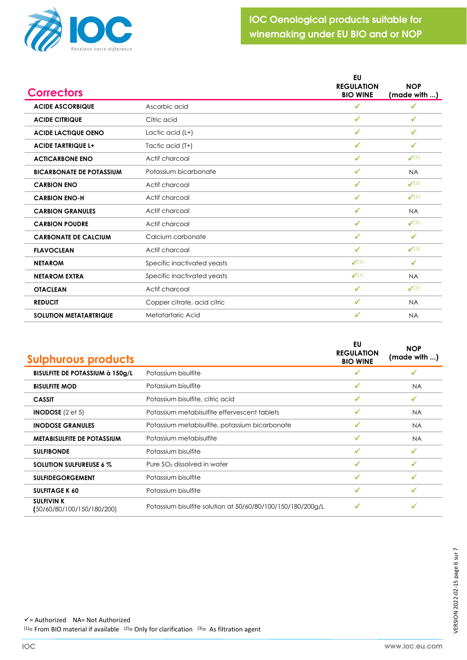

| <b>Correctors</b>               |                             | EU<br><b>REGULATION</b><br><b>BIO WINE</b> | <b>NOP</b><br>(made with ) |
|---------------------------------|-----------------------------|--------------------------------------------|----------------------------|
| <b>ACIDE ASCORBIQUE</b>         | Ascorbic acid               | ✓                                          | ✔                          |
| <b>ACIDE CITRIQUE</b>           | Citric acid                 | $\checkmark$                               | $\checkmark$               |
| <b>ACIDE LACTIQUE OENO</b>      | Lactic acid (L+)            | $\checkmark$                               | $\checkmark$               |
| <b>ACIDE TARTRIQUE L+</b>       | Tactic acid (T+)            | $\checkmark$                               | $\checkmark$               |
| <b>ACTICARBONE ENO</b>          | Actif charcoal              | ✓                                          | $\checkmark$ (3)           |
| <b>BICARBONATE DE POTASSIUM</b> | Potassium bicarbonate       | ✓                                          | <b>NA</b>                  |
| <b>CARBION ENO</b>              | Actif charcoal              | $\checkmark$                               | $\checkmark$ (3)           |
| <b>CARBION ENO-H</b>            | Actif charcoal              | ✓                                          | $\checkmark$ (3)           |
| <b>CARBION GRANULES</b>         | Actif charcoal              | ✔                                          | <b>NA</b>                  |
| <b>CARBION POUDRE</b>           | Actif charcoal              | $\checkmark$                               | $\checkmark$ (3)           |
| <b>CARBONATE DE CALCIUM</b>     | Calcium carbonate           | ✓                                          | ✔                          |
| <b>FLAVOCLEAN</b>               | Actif charcoal              | $\checkmark$                               | $\checkmark$ (3)           |
| <b>NETAROM</b>                  | Specific inactivated yeasts | $\checkmark(1)$                            | ✓                          |
| <b>NETAROM EXTRA</b>            | Specific inactivated yeasts | $\checkmark(1)$                            | <b>NA</b>                  |
| <b>OTACLEAN</b>                 | Actif charcoal              | ✓                                          | $\checkmark$ (3)           |
| <b>REDUCIT</b>                  | Copper citrate, acid citric | ✓                                          | <b>NA</b>                  |
| <b>SOLUTION METATARTRIQUE</b>   | Metatartaric Acid           | ✓                                          | <b>NA</b>                  |

| <b>Sulphurous products</b>                      |                                                             | EU<br><b>REGULATION</b><br><b>BIO WINE</b> | <b>NOP</b><br>(made with ) |
|-------------------------------------------------|-------------------------------------------------------------|--------------------------------------------|----------------------------|
| <b>BISULFITE DE POTASSIUM à 150g/L</b>          | Potassium bisulfite                                         |                                            |                            |
| <b>BISULFITE MOD</b>                            | Potassium bisulfite                                         |                                            | <b>NA</b>                  |
| <b>CASSIT</b>                                   | Potassium bisulfite, citric acid                            | ✓                                          | ✔                          |
| <b>INODOSE</b> $(2 \text{ et } 5)$              | Potassium metabisulfite effervescent tablets                | ✔                                          | <b>NA</b>                  |
| <b>INODOSE GRANULES</b>                         | Potassium metabisulfite, potassium bicarbonate              | ✓                                          | <b>NA</b>                  |
| <b>METABISULFITE DE POTASSIUM</b>               | Potassium metabisulfite                                     |                                            | <b>NA</b>                  |
| <b>SULFIBONDE</b>                               | Potassium bisulfite                                         |                                            |                            |
| <b>SOLUTION SULFUREUSE 6 %</b>                  | Pure SO <sub>2</sub> dissolved in water                     |                                            |                            |
| <b>SULFIDEGORGEMENT</b>                         | Potassium bisulfite                                         | ✓                                          | $\checkmark$               |
| <b>SULFITAGE K 60</b>                           | Potassium bisulfite                                         | ✔                                          | ✔                          |
| <b>SULFIVIN K</b><br>(50/60/80/100/150/180/200) | Potassium bisulfite solution at 50/60/80/100/150/180/200g/L |                                            |                            |